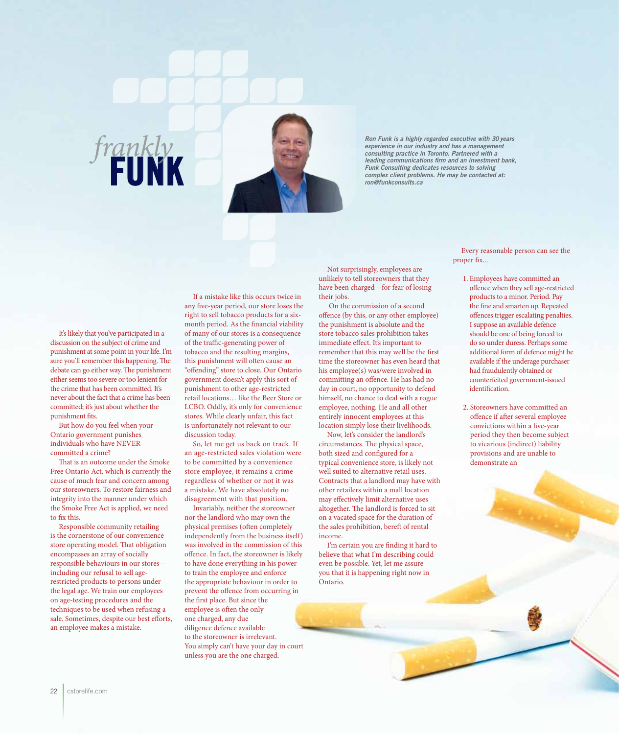

*Ron Funk is a highly regarded executive with 30 years experience in our industry and has a management consulting practice in Toronto. Partnered with a leading communications firm and an investment bank, Funk Consulting dedicates resources to solving consulting plactice in Signals Complex client problems. He may be contacted at:* **FUNK** *rong funk Consulting dedicates resources to solving complex client problems. He may be contacted at:* 

It's likely that you've participated in a discussion on the subject of crime and punishment at some point in your life. I'm sure you'll remember this happening. The debate can go either way. The punishment either seems too severe or too lenient for the crime that has been committed. It's never about the fact that a crime has been committed; it's just about whether the punishment fits.

*frankly*

But how do you feel when your Ontario government punishes individuals who have NEVER committed a crime?

That is an outcome under the Smoke Free Ontario Act, which is currently the cause of much fear and concern among our storeowners. To restore fairness and integrity into the manner under which the Smoke Free Act is applied, we need to fix this.

Responsible community retailing is the cornerstone of our convenience store operating model. That obligation encompasses an array of socially responsible behaviours in our stores including our refusal to sell agerestricted products to persons under the legal age. We train our employees on age-testing procedures and the techniques to be used when refusing a sale. Sometimes, despite our best efforts, an employee makes a mistake.

If a mistake like this occurs twice in any five-year period, our store loses the right to sell tobacco products for a sixmonth period. As the financial viability of many of our stores is a consequence of the traffic-generating power of tobacco and the resulting margins, this punishment will often cause an "offending" store to close. Our Ontario government doesn't apply this sort of punishment to other age-restricted retail locations… like the Beer Store or LCBO. Oddly, it's only for convenience stores. While clearly unfair, this fact is unfortunately not relevant to our discussion today.

So, let me get us back on track. If an age-restricted sales violation were to be committed by a convenience store employee, it remains a crime regardless of whether or not it was a mistake. We have absolutely no disagreement with that position.

Invariably, neither the storeowner nor the landlord who may own the physical premises (often completely independently from the business itself) was involved in the commission of this offence. In fact, the storeowner is likely to have done everything in his power to train the employee and enforce the appropriate behaviour in order to prevent the offence from occurring in the first place. But since the employee is often the only one charged, any due diligence defence available to the storeowner is irrelevant. You simply can't have your day in court unless you are the one charged.

Not surprisingly, employees are unlikely to tell storeowners that they have been charged—for fear of losing their jobs.

 On the commission of a second offence (by this, or any other employee) the punishment is absolute and the store tobacco sales prohibition takes immediate effect. It's important to remember that this may well be the first time the storeowner has even heard that his employee(s) was/were involved in committing an offence. He has had no day in court, no opportunity to defend himself, no chance to deal with a rogue employee, nothing. He and all other entirely innocent employees at this location simply lose their livelihoods.

Now, let's consider the landlord's circumstances. The physical space, both sized and configured for a typical convenience store, is likely not well suited to alternative retail uses. Contracts that a landlord may have with other retailers within a mall location may effectively limit alternative uses altogether. The landlord is forced to sit on a vacated space for the duration of the sales prohibition, bereft of rental income.

I'm certain you are finding it hard to believe that what I'm describing could even be possible. Yet, let me assure you that it is happening right now in Ontario.

Every reasonable person can see the proper fix...

- 1. Employees have committed an offence when they sell age-restricted products to a minor. Period. Pay the fine and smarten up. Repeated offences trigger escalating penalties. I suppose an available defence should be one of being forced to do so under duress. Perhaps some additional form of defence might be available if the underage purchaser had fraudulently obtained or counterfeited government-issued identification.
- 2. Storeowners have committed an offence if after several employee convictions within a five-year period they then become subject to vicarious (indirect) liability provisions and are unable to demonstrate an